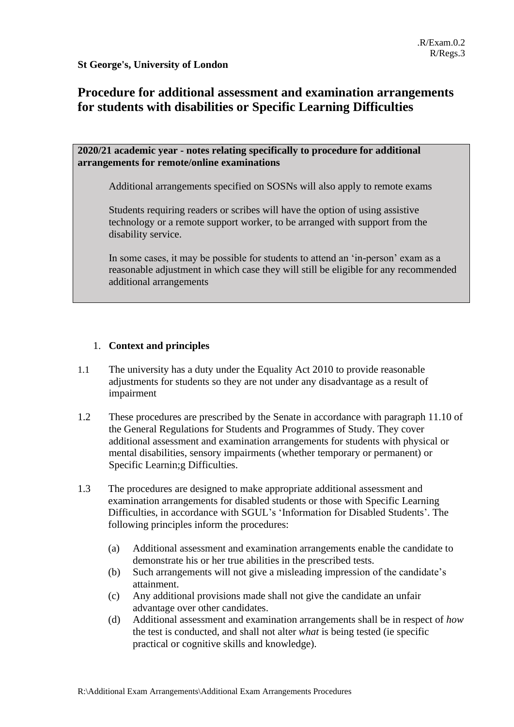**St George's, University of London**

# **Procedure for additional assessment and examination arrangements for students with disabilities or Specific Learning Difficulties**

# **2020/21 academic year - notes relating specifically to procedure for additional arrangements for remote/online examinations**

Additional arrangements specified on SOSNs will also apply to remote exams

Students requiring readers or scribes will have the option of using assistive technology or a remote support worker, to be arranged with support from the disability service.

In some cases, it may be possible for students to attend an 'in-person' exam as a reasonable adjustment in which case they will still be eligible for any recommended additional arrangements

# 1. **Context and principles**

- 1.1 The university has a duty under the Equality Act 2010 to provide reasonable adjustments for students so they are not under any disadvantage as a result of impairment
- 1.2 These procedures are prescribed by the Senate in accordance with paragraph 11.10 of the General Regulations for Students and Programmes of Study. They cover additional assessment and examination arrangements for students with physical or mental disabilities, sensory impairments (whether temporary or permanent) or Specific Learnin;g Difficulties.
- 1.3 The procedures are designed to make appropriate additional assessment and examination arrangements for disabled students or those with Specific Learning Difficulties, in accordance with SGUL's 'Information for Disabled Students'. The following principles inform the procedures:
	- (a) Additional assessment and examination arrangements enable the candidate to demonstrate his or her true abilities in the prescribed tests.
	- (b) Such arrangements will not give a misleading impression of the candidate's attainment.
	- (c) Any additional provisions made shall not give the candidate an unfair advantage over other candidates.
	- (d) Additional assessment and examination arrangements shall be in respect of *how* the test is conducted, and shall not alter *what* is being tested (ie specific practical or cognitive skills and knowledge).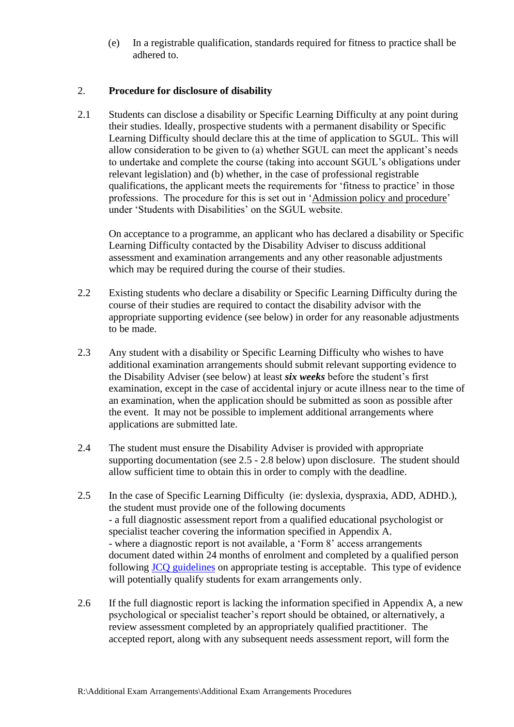(e) In a registrable qualification, standards required for fitness to practice shall be adhered to.

## 2. **Procedure for disclosure of disability**

2.1 Students can disclose a disability or Specific Learning Difficulty at any point during their studies. Ideally, prospective students with a permanent disability or Specific Learning Difficulty should declare this at the time of application to SGUL. This will allow consideration to be given to (a) whether SGUL can meet the applicant's needs to undertake and complete the course (taking into account SGUL's obligations under relevant legislation) and (b) whether, in the case of professional registrable qualifications, the applicant meets the requirements for 'fitness to practice' in those professions. The procedure for this is set out in ['Admission policy and procedure'](http://www.sgul.ac.uk/studying-at-st-georges/student-support/student-with-disabilities/admission-policy-and-procedure) under 'Students with Disabilities' on the SGUL website.

On acceptance to a programme, an applicant who has declared a disability or Specific Learning Difficulty contacted by the Disability Adviser to discuss additional assessment and examination arrangements and any other reasonable adjustments which may be required during the course of their studies.

- 2.2 Existing students who declare a disability or Specific Learning Difficulty during the course of their studies are required to contact the disability advisor with the appropriate supporting evidence (see below) in order for any reasonable adjustments to be made.
- 2.3 Any student with a disability or Specific Learning Difficulty who wishes to have additional examination arrangements should submit relevant supporting evidence to the Disability Adviser (see below) at least *six weeks* before the student's first examination, except in the case of accidental injury or acute illness near to the time of an examination, when the application should be submitted as soon as possible after the event. It may not be possible to implement additional arrangements where applications are submitted late.
- 2.4 The student must ensure the Disability Adviser is provided with appropriate supporting documentation (see 2.5 - 2.8 below) upon disclosure. The student should allow sufficient time to obtain this in order to comply with the deadline.
- 2.5 In the case of Specific Learning Difficulty (ie: dyslexia, dyspraxia, ADD, ADHD.), the student must provide one of the following documents - a full diagnostic assessment report from a qualified educational psychologist or specialist teacher covering the information specified in Appendix A. - where a diagnostic report is not available, a 'Form 8' access arrangements document dated within 24 months of enrolment and completed by a qualified person following JCQ [guidelines](https://www.jcq.org.uk/exams-office/access-arrangements-and-special-consideration/regulations-and-guidance/) on appropriate testing is acceptable. This type of evidence will potentially qualify students for exam arrangements only.
- 2.6 If the full diagnostic report is lacking the information specified in Appendix A, a new psychological or specialist teacher's report should be obtained, or alternatively, a review assessment completed by an appropriately qualified practitioner. The accepted report, along with any subsequent needs assessment report, will form the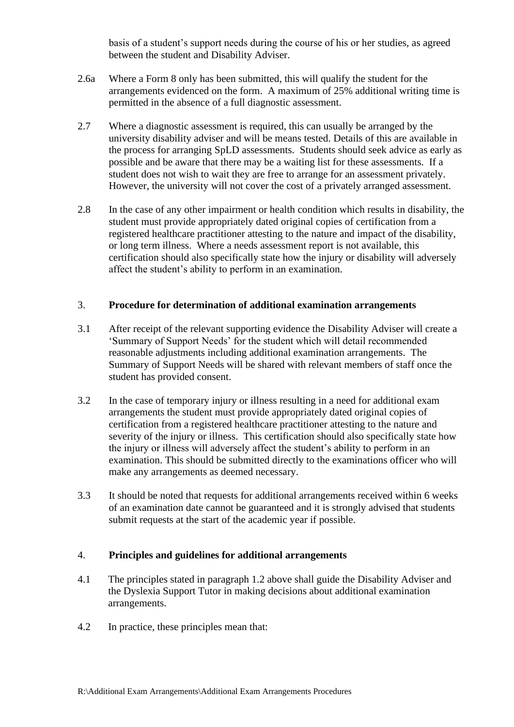basis of a student's support needs during the course of his or her studies, as agreed between the student and Disability Adviser.

- 2.6a Where a Form 8 only has been submitted, this will qualify the student for the arrangements evidenced on the form. A maximum of 25% additional writing time is permitted in the absence of a full diagnostic assessment.
- 2.7 Where a diagnostic assessment is required, this can usually be arranged by the university disability adviser and will be means tested. Details of this are available in the process for arranging SpLD assessments. Students should seek advice as early as possible and be aware that there may be a waiting list for these assessments. If a student does not wish to wait they are free to arrange for an assessment privately. However, the university will not cover the cost of a privately arranged assessment.
- 2.8 In the case of any other impairment or health condition which results in disability, the student must provide appropriately dated original copies of certification from a registered healthcare practitioner attesting to the nature and impact of the disability, or long term illness. Where a needs assessment report is not available, this certification should also specifically state how the injury or disability will adversely affect the student's ability to perform in an examination.

#### 3. **Procedure for determination of additional examination arrangements**

- 3.1 After receipt of the relevant supporting evidence the Disability Adviser will create a 'Summary of Support Needs' for the student which will detail recommended reasonable adjustments including additional examination arrangements. The Summary of Support Needs will be shared with relevant members of staff once the student has provided consent.
- 3.2 In the case of temporary injury or illness resulting in a need for additional exam arrangements the student must provide appropriately dated original copies of certification from a registered healthcare practitioner attesting to the nature and severity of the injury or illness. This certification should also specifically state how the injury or illness will adversely affect the student's ability to perform in an examination. This should be submitted directly to the examinations officer who will make any arrangements as deemed necessary.
- 3.3 It should be noted that requests for additional arrangements received within 6 weeks of an examination date cannot be guaranteed and it is strongly advised that students submit requests at the start of the academic year if possible.

# 4. **Principles and guidelines for additional arrangements**

- 4.1 The principles stated in paragraph 1.2 above shall guide the Disability Adviser and the Dyslexia Support Tutor in making decisions about additional examination arrangements.
- 4.2 In practice, these principles mean that: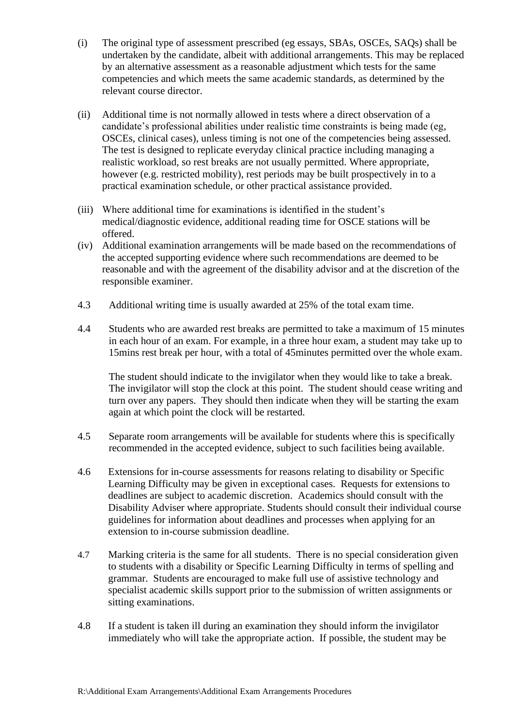- (i) The original type of assessment prescribed (eg essays, SBAs, OSCEs, SAQs) shall be undertaken by the candidate, albeit with additional arrangements. This may be replaced by an alternative assessment as a reasonable adjustment which tests for the same competencies and which meets the same academic standards, as determined by the relevant course director.
- (ii) Additional time is not normally allowed in tests where a direct observation of a candidate's professional abilities under realistic time constraints is being made (eg, OSCEs, clinical cases), unless timing is not one of the competencies being assessed. The test is designed to replicate everyday clinical practice including managing a realistic workload, so rest breaks are not usually permitted. Where appropriate, however (e.g. restricted mobility), rest periods may be built prospectively in to a practical examination schedule, or other practical assistance provided.
- (iii) Where additional time for examinations is identified in the student's medical/diagnostic evidence, additional reading time for OSCE stations will be offered.
- (iv) Additional examination arrangements will be made based on the recommendations of the accepted supporting evidence where such recommendations are deemed to be reasonable and with the agreement of the disability advisor and at the discretion of the responsible examiner.
- 4.3 Additional writing time is usually awarded at 25% of the total exam time.
- 4.4 Students who are awarded rest breaks are permitted to take a maximum of 15 minutes in each hour of an exam. For example, in a three hour exam, a student may take up to 15mins rest break per hour, with a total of 45minutes permitted over the whole exam.

The student should indicate to the invigilator when they would like to take a break. The invigilator will stop the clock at this point. The student should cease writing and turn over any papers. They should then indicate when they will be starting the exam again at which point the clock will be restarted.

- 4.5 Separate room arrangements will be available for students where this is specifically recommended in the accepted evidence, subject to such facilities being available.
- 4.6 Extensions for in-course assessments for reasons relating to disability or Specific Learning Difficulty may be given in exceptional cases. Requests for extensions to deadlines are subject to academic discretion. Academics should consult with the Disability Adviser where appropriate. Students should consult their individual course guidelines for information about deadlines and processes when applying for an extension to in-course submission deadline.
- 4.7 Marking criteria is the same for all students. There is no special consideration given to students with a disability or Specific Learning Difficulty in terms of spelling and grammar. Students are encouraged to make full use of assistive technology and specialist academic skills support prior to the submission of written assignments or sitting examinations.
- 4.8 If a student is taken ill during an examination they should inform the invigilator immediately who will take the appropriate action. If possible, the student may be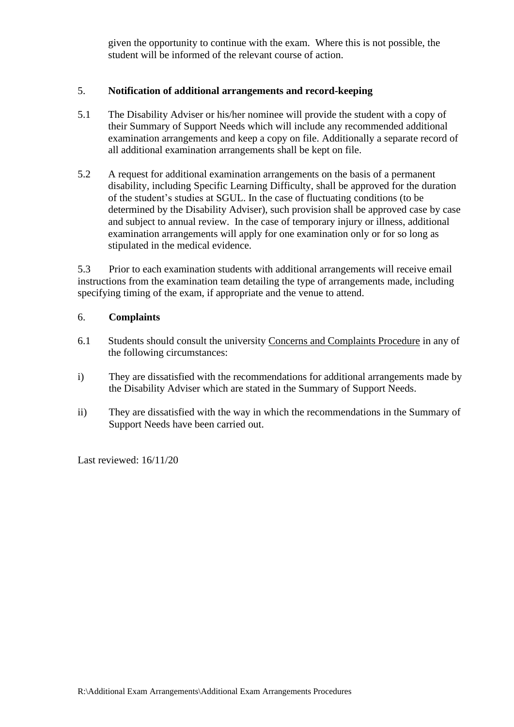given the opportunity to continue with the exam. Where this is not possible, the student will be informed of the relevant course of action.

# 5. **Notification of additional arrangements and record-keeping**

- 5.1 The Disability Adviser or his/her nominee will provide the student with a copy of their Summary of Support Needs which will include any recommended additional examination arrangements and keep a copy on file. Additionally a separate record of all additional examination arrangements shall be kept on file.
- 5.2 A request for additional examination arrangements on the basis of a permanent disability, including Specific Learning Difficulty, shall be approved for the duration of the student's studies at SGUL. In the case of fluctuating conditions (to be determined by the Disability Adviser), such provision shall be approved case by case and subject to annual review. In the case of temporary injury or illness, additional examination arrangements will apply for one examination only or for so long as stipulated in the medical evidence.

5.3 Prior to each examination students with additional arrangements will receive email instructions from the examination team detailing the type of arrangements made, including specifying timing of the exam, if appropriate and the venue to attend.

# 6. **Complaints**

- 6.1 Students should consult the university [Concerns and Complaints Procedure](https://portal.sgul.ac.uk/org/lis/reg/student-centre/student-affairs-and-compliance-pages/student-concerns-and-complaints-procedure) in any of the following circumstances:
- i) They are dissatisfied with the recommendations for additional arrangements made by the Disability Adviser which are stated in the Summary of Support Needs.
- ii) They are dissatisfied with the way in which the recommendations in the Summary of Support Needs have been carried out.

Last reviewed: 16/11/20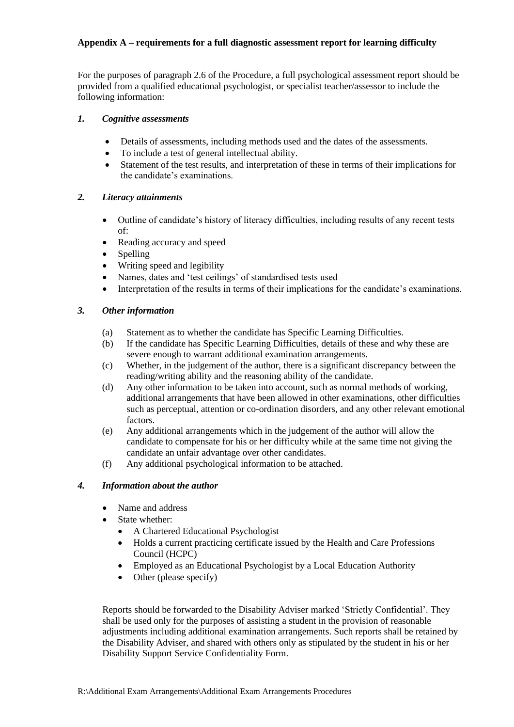#### **Appendix A – requirements for a full diagnostic assessment report for learning difficulty**

For the purposes of paragraph 2.6 of the Procedure, a full psychological assessment report should be provided from a qualified educational psychologist, or specialist teacher/assessor to include the following information:

#### *1. Cognitive assessments*

- Details of assessments, including methods used and the dates of the assessments.
- To include a test of general intellectual ability.
- Statement of the test results, and interpretation of these in terms of their implications for the candidate's examinations.

#### *2. Literacy attainments*

- Outline of candidate's history of literacy difficulties, including results of any recent tests of:
- Reading accuracy and speed
- Spelling
- Writing speed and legibility
- Names, dates and 'test ceilings' of standardised tests used
- Interpretation of the results in terms of their implications for the candidate's examinations.

#### *3. Other information*

- (a) Statement as to whether the candidate has Specific Learning Difficulties.
- (b) If the candidate has Specific Learning Difficulties, details of these and why these are severe enough to warrant additional examination arrangements.
- (c) Whether, in the judgement of the author, there is a significant discrepancy between the reading/writing ability and the reasoning ability of the candidate.
- (d) Any other information to be taken into account, such as normal methods of working, additional arrangements that have been allowed in other examinations, other difficulties such as perceptual, attention or co-ordination disorders, and any other relevant emotional factors.
- (e) Any additional arrangements which in the judgement of the author will allow the candidate to compensate for his or her difficulty while at the same time not giving the candidate an unfair advantage over other candidates.
- (f) Any additional psychological information to be attached.

#### *4. Information about the author*

- Name and address
- State whether:
	- A Chartered Educational Psychologist
	- Holds a current practicing certificate issued by the Health and Care Professions Council (HCPC)
	- Employed as an Educational Psychologist by a Local Education Authority
	- Other (please specify)

Reports should be forwarded to the Disability Adviser marked 'Strictly Confidential'. They shall be used only for the purposes of assisting a student in the provision of reasonable adjustments including additional examination arrangements. Such reports shall be retained by the Disability Adviser, and shared with others only as stipulated by the student in his or her Disability Support Service Confidentiality Form.